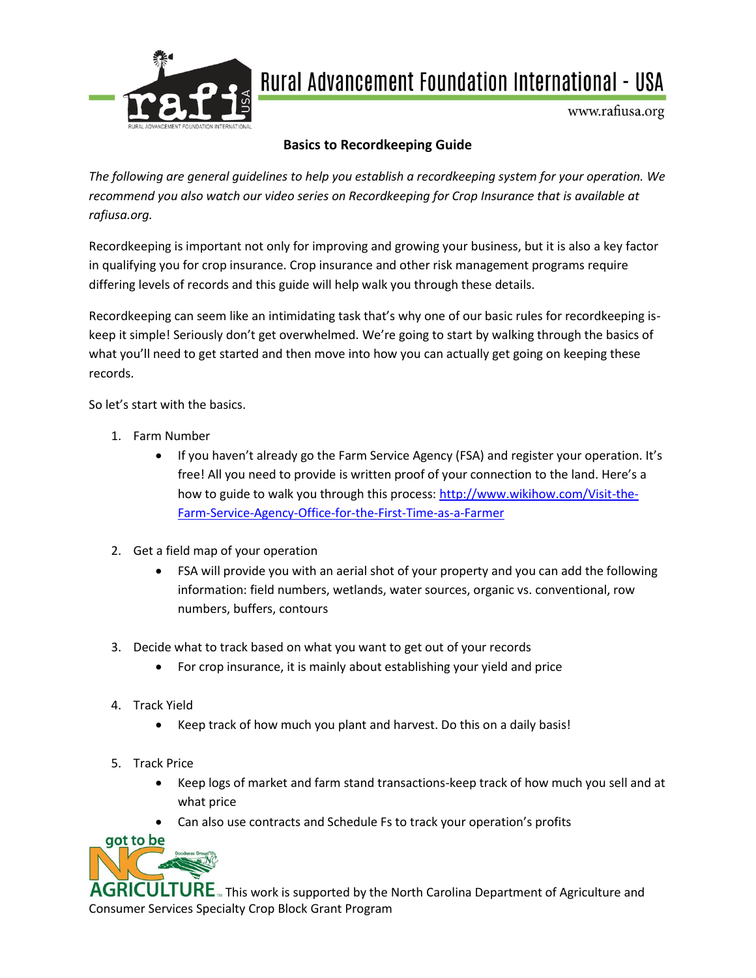

www.rafiusa.org

#### **Basics to Recordkeeping Guide**

*The following are general guidelines to help you establish a recordkeeping system for your operation. We recommend you also watch our video series on Recordkeeping for Crop Insurance that is available at rafiusa.org.* 

Recordkeeping is important not only for improving and growing your business, but it is also a key factor in qualifying you for crop insurance. Crop insurance and other risk management programs require differing levels of records and this guide will help walk you through these details.

Recordkeeping can seem like an intimidating task that's why one of our basic rules for recordkeeping iskeep it simple! Seriously don't get overwhelmed. We're going to start by walking through the basics of what you'll need to get started and then move into how you can actually get going on keeping these records.

So let's start with the basics.

- 1. Farm Number
	- If you haven't already go the Farm Service Agency (FSA) and register your operation. It's free! All you need to provide is written proof of your connection to the land. Here's a how to guide to walk you through this process: [http://www.wikihow.com/Visit-the-](http://www.wikihow.com/Visit-the-Farm-Service-Agency-Office-for-the-First-Time-as-a-Farmer)[Farm-Service-Agency-Office-for-the-First-Time-as-a-Farmer](http://www.wikihow.com/Visit-the-Farm-Service-Agency-Office-for-the-First-Time-as-a-Farmer)
- 2. Get a field map of your operation
	- FSA will provide you with an aerial shot of your property and you can add the following information: field numbers, wetlands, water sources, organic vs. conventional, row numbers, buffers, contours
- 3. Decide what to track based on what you want to get out of your records
	- For crop insurance, it is mainly about establishing your yield and price
- 4. Track Yield
	- Keep track of how much you plant and harvest. Do this on a daily basis!
- 5. Track Price
	- Keep logs of market and farm stand transactions-keep track of how much you sell and at what price
	- Can also use contracts and Schedule Fs to track your operation's profits



 $\mathsf{ULTURE}_{\simeq}$  This work is supported by the North Carolina Department of Agriculture and Consumer Services Specialty Crop Block Grant Program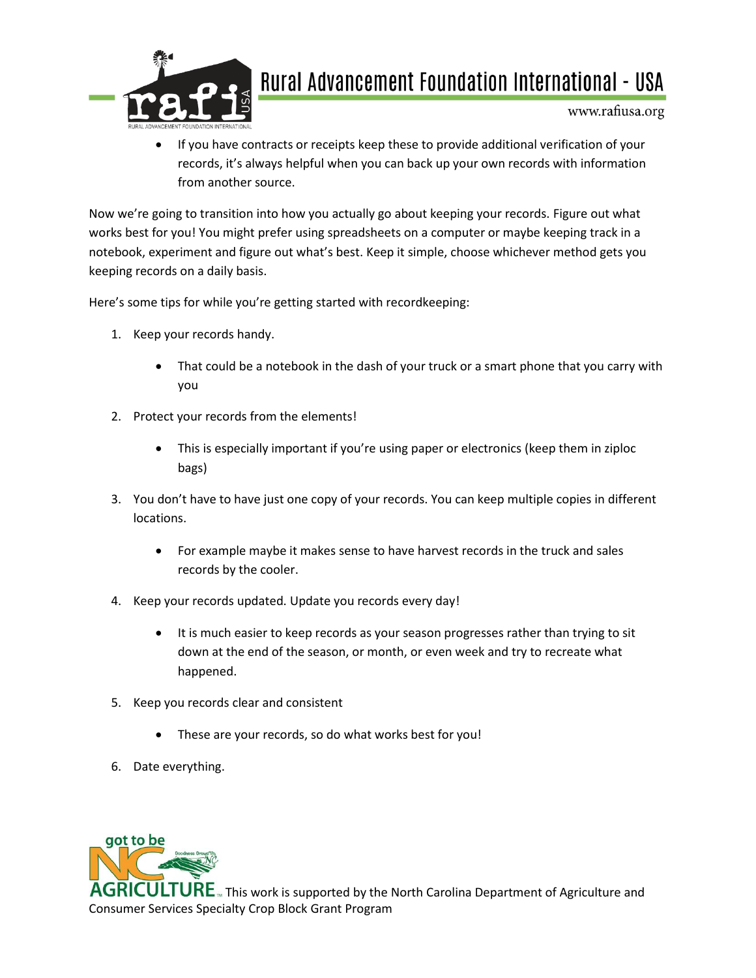

www.rafiusa.org

 If you have contracts or receipts keep these to provide additional verification of your records, it's always helpful when you can back up your own records with information from another source.

Now we're going to transition into how you actually go about keeping your records. Figure out what works best for you! You might prefer using spreadsheets on a computer or maybe keeping track in a notebook, experiment and figure out what's best. Keep it simple, choose whichever method gets you keeping records on a daily basis.

Here's some tips for while you're getting started with recordkeeping:

- 1. Keep your records handy.
	- That could be a notebook in the dash of your truck or a smart phone that you carry with you
- 2. Protect your records from the elements!
	- This is especially important if you're using paper or electronics (keep them in ziploc bags)
- 3. You don't have to have just one copy of your records. You can keep multiple copies in different locations.
	- For example maybe it makes sense to have harvest records in the truck and sales records by the cooler.
- 4. Keep your records updated. Update you records every day!
	- It is much easier to keep records as your season progresses rather than trying to sit down at the end of the season, or month, or even week and try to recreate what happened.
- 5. Keep you records clear and consistent
	- These are your records, so do what works best for you!
- 6. Date everything.



 $\overline{\mathsf{URE}}$  This work is supported by the North Carolina Department of Agriculture and Consumer Services Specialty Crop Block Grant Program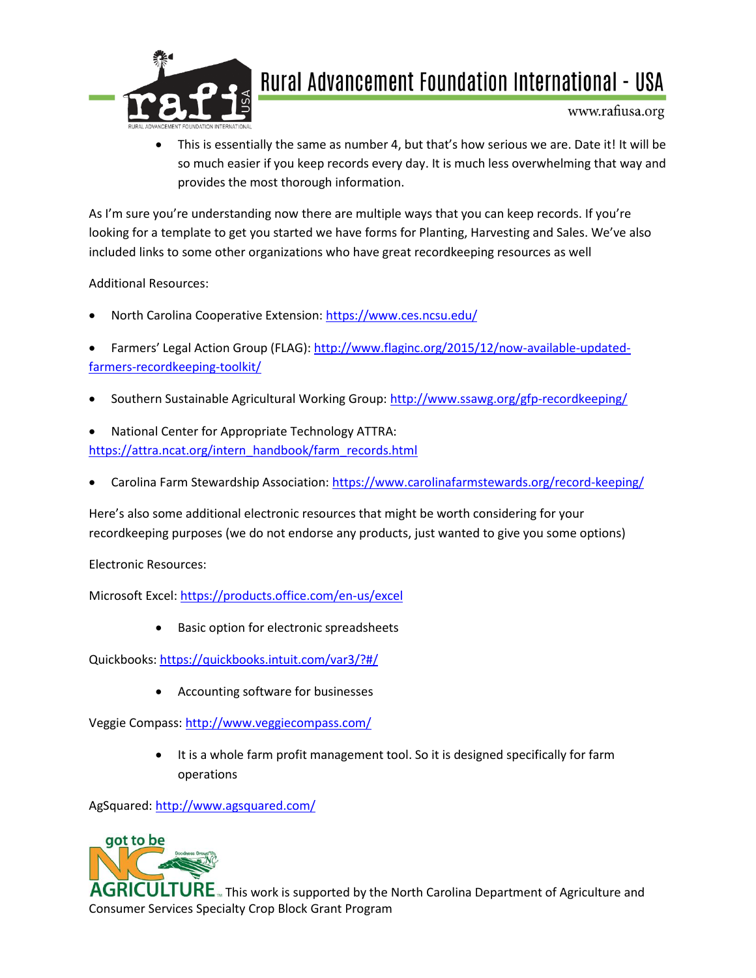

www.rafiusa.org

 This is essentially the same as number 4, but that's how serious we are. Date it! It will be so much easier if you keep records every day. It is much less overwhelming that way and provides the most thorough information.

As I'm sure you're understanding now there are multiple ways that you can keep records. If you're looking for a template to get you started we have forms for Planting, Harvesting and Sales. We've also included links to some other organizations who have great recordkeeping resources as well

#### Additional Resources:

- North Carolina Cooperative Extension:<https://www.ces.ncsu.edu/>
- Farmers' Legal Action Group (FLAG): [http://www.flaginc.org/2015/12/now-available-updated](http://www.flaginc.org/2015/12/now-available-updated-farmers-recordkeeping-toolkit/)[farmers-recordkeeping-toolkit/](http://www.flaginc.org/2015/12/now-available-updated-farmers-recordkeeping-toolkit/)
- Southern Sustainable Agricultural Working Group:<http://www.ssawg.org/gfp-recordkeeping/>
- National Center for Appropriate Technology ATTRA: [https://attra.ncat.org/intern\\_handbook/farm\\_records.html](https://attra.ncat.org/intern_handbook/farm_records.html)
- Carolina Farm Stewardship Association:<https://www.carolinafarmstewards.org/record-keeping/>

Here's also some additional electronic resources that might be worth considering for your recordkeeping purposes (we do not endorse any products, just wanted to give you some options)

Electronic Resources:

Microsoft Excel:<https://products.office.com/en-us/excel>

Basic option for electronic spreadsheets

Quickbooks[: https://quickbooks.intuit.com/var3/?#/](https://quickbooks.intuit.com/var3/?#/)

Accounting software for businesses

Veggie Compass:<http://www.veggiecompass.com/>

 It is a whole farm profit management tool. So it is designed specifically for farm operations

AgSquared:<http://www.agsquared.com/>



**LTURE**<sub>IN</sub> This work is supported by the North Carolina Department of Agriculture and Consumer Services Specialty Crop Block Grant Program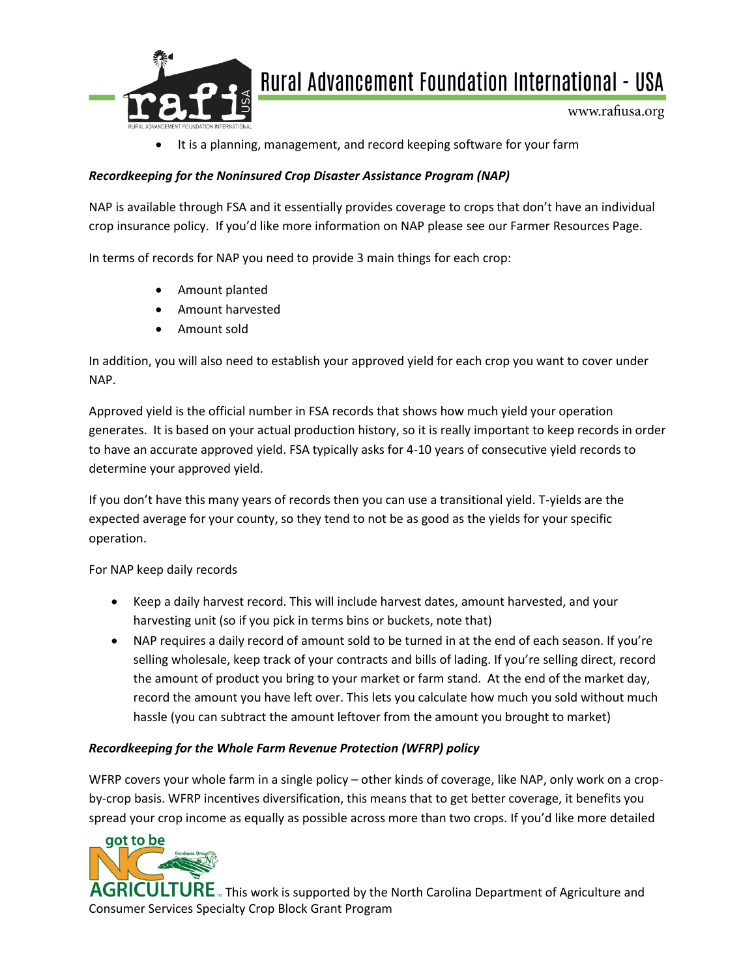

www.rafiusa.org

It is a planning, management, and record keeping software for your farm

#### *Recordkeeping for the Noninsured Crop Disaster Assistance Program (NAP)*

NAP is available through FSA and it essentially provides coverage to crops that don't have an individual crop insurance policy. If you'd like more information on NAP please see our Farmer Resources Page.

In terms of records for NAP you need to provide 3 main things for each crop:

- Amount planted
- Amount harvested
- Amount sold

In addition, you will also need to establish your approved yield for each crop you want to cover under NAP.

Approved yield is the official number in FSA records that shows how much yield your operation generates. It is based on your actual production history, so it is really important to keep records in order to have an accurate approved yield. FSA typically asks for 4-10 years of consecutive yield records to determine your approved yield.

If you don't have this many years of records then you can use a transitional yield. T-yields are the expected average for your county, so they tend to not be as good as the yields for your specific operation.

For NAP keep daily records

- Keep a daily harvest record. This will include harvest dates, amount harvested, and your harvesting unit (so if you pick in terms bins or buckets, note that)
- NAP requires a daily record of amount sold to be turned in at the end of each season. If you're selling wholesale, keep track of your contracts and bills of lading. If you're selling direct, record the amount of product you bring to your market or farm stand. At the end of the market day, record the amount you have left over. This lets you calculate how much you sold without much hassle (you can subtract the amount leftover from the amount you brought to market)

#### *Recordkeeping for the Whole Farm Revenue Protection (WFRP) policy*

WFRP covers your whole farm in a single policy – other kinds of coverage, like NAP, only work on a cropby-crop basis. WFRP incentives diversification, this means that to get better coverage, it benefits you spread your crop income as equally as possible across more than two crops. If you'd like more detailed



 $\mathbf{AGRICULTURE}_{\tiny{\text{m}}}$  This work is supported by the North Carolina Department of Agriculture and Consumer Services Specialty Crop Block Grant Program